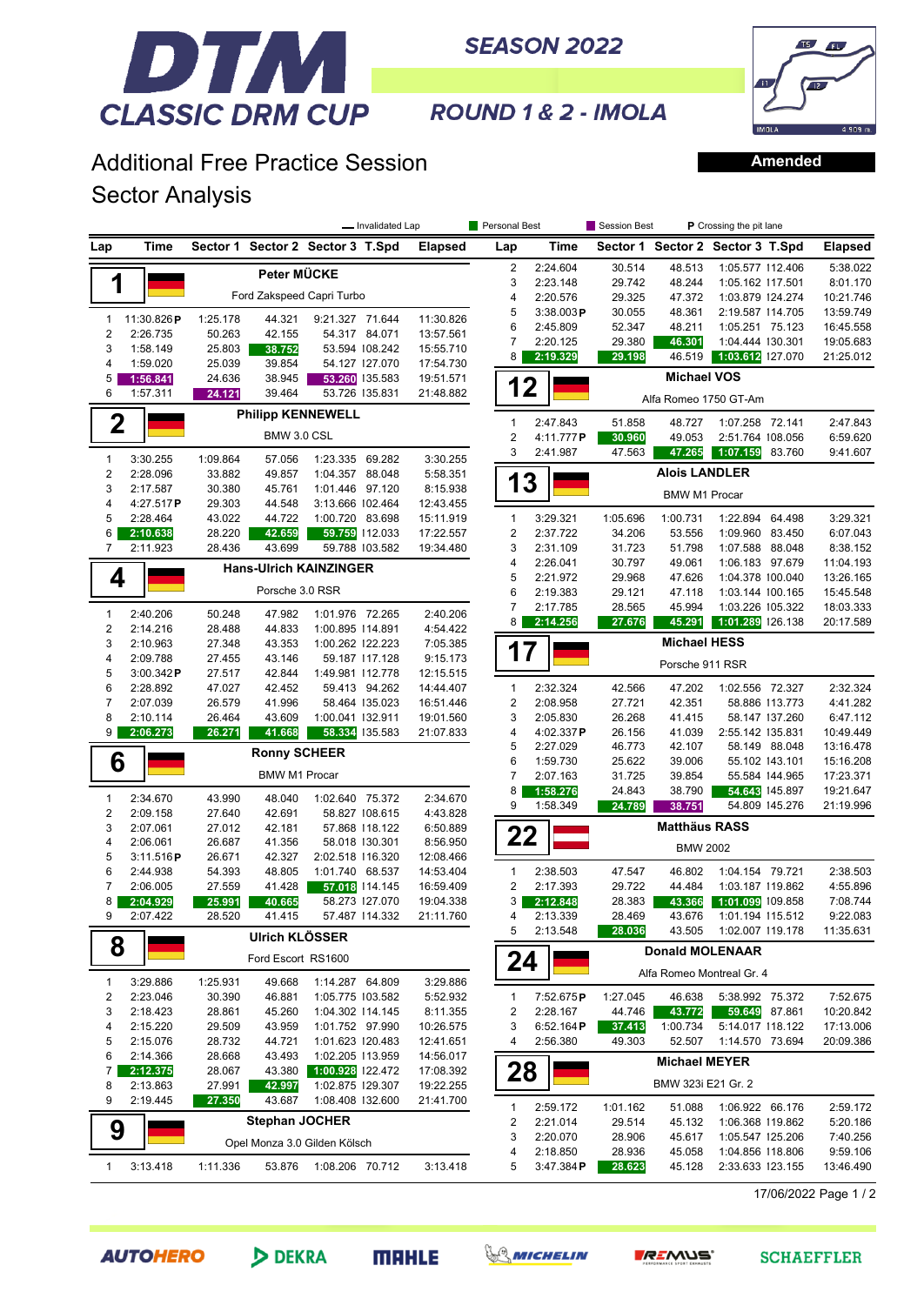

**SEASON 2022** 



**Amended**

ROUND 1 & 2 - IMOLA

## Additional Free Practice Session Sector Analysis

|                              |                         | - Invalidated Lap |                       |                                      | <b>Personal Best</b> |                       | Session Best   | P Crossing the pit lane      |          |                      |                                  |                |                |  |
|------------------------------|-------------------------|-------------------|-----------------------|--------------------------------------|----------------------|-----------------------|----------------|------------------------------|----------|----------------------|----------------------------------|----------------|----------------|--|
| Lap                          | Time                    |                   |                       | Sector 1 Sector 2 Sector 3 T.Spd     |                      | <b>Elapsed</b>        | Lap            | Time                         |          |                      | Sector 1 Sector 2 Sector 3 T.Spd |                | <b>Elapsed</b> |  |
|                              |                         |                   | Peter MÜCKE           |                                      |                      |                       | $\overline{2}$ | 2:24.604                     | 30.514   | 48.513               | 1:05.577 112.406                 |                | 5:38.022       |  |
| 1                            |                         |                   |                       |                                      |                      |                       | 3              | 2:23.148                     | 29.742   | 48.244               | 1:05.162 117.501                 |                | 8:01.170       |  |
|                              |                         |                   |                       | Ford Zakspeed Capri Turbo            |                      |                       | 4              | 2:20.576                     | 29.325   | 47.372               | 1:03.879 124.274                 |                | 10:21.746      |  |
| 1                            | 11:30.826P              | 1:25.178          | 44.321                | 9:21.327 71.644                      |                      | 11:30.826             | 5              | 3:38.003P                    | 30.055   | 48.361               | 2:19.587 114.705                 |                | 13:59.749      |  |
| $\overline{c}$               | 2:26.735                | 50.263            | 42.155                |                                      | 54.317 84.071        | 13:57.561             | 6              | 2:45.809                     | 52.347   | 48.211               | 1:05.251 75.123                  |                | 16:45.558      |  |
| 3                            | 1:58.149                | 25.803            | 38.752                |                                      | 53.594 108.242       | 15:55.710             | 7              | 2:20.125                     | 29.380   | 46.301               | 1:04.444 130.301                 |                | 19:05.683      |  |
| 4                            | 1:59.020                | 25.039            | 39.854                |                                      | 54.127 127.070       | 17:54.730             | 8              | 2:19.329                     | 29.198   | 46.519               | 1:03.612 127.070                 |                | 21:25.012      |  |
| 5                            | 1:56.841                | 24.636            | 38.945                |                                      | 53.260 135.583       | 19:51.571             | 12             |                              |          | <b>Michael VOS</b>   |                                  |                |                |  |
| 6                            | 1:57.311                | 24.121            | 39.464                |                                      | 53.726 135.831       | 21:48.882             |                |                              |          |                      | Alfa Romeo 1750 GT-Am            |                |                |  |
| $\mathbf 2$                  |                         |                   |                       | <b>Philipp KENNEWELL</b>             |                      |                       | 1              | 2:47.843                     | 51.858   | 48.727               | 1:07.258 72.141                  |                | 2:47.843       |  |
|                              |                         |                   | BMW 3.0 CSL           |                                      |                      |                       | $\overline{2}$ | 4:11.777 <b>P</b>            | 30.960   | 49.053               | 2:51.764 108.056                 |                | 6:59.620       |  |
|                              |                         |                   |                       |                                      |                      |                       | 3              | 2:41.987                     | 47.563   | 47.265               | 1:07.159                         | 83.760         | 9:41.607       |  |
| $\mathbf{1}$                 | 3:30.255                | 1:09.864          | 57.056                | 1:23.335 69.282                      |                      | 3:30.255              |                |                              |          | <b>Alois LANDLER</b> |                                  |                |                |  |
| $\overline{\mathbf{c}}$<br>3 | 2:28.096                | 33.882            | 49.857                | 1:04.357 88.048                      |                      | 5:58.351              | 13             |                              |          |                      |                                  |                |                |  |
| 4                            | 2:17.587<br>4:27.517P   | 30.380<br>29.303  | 45.761<br>44.548      | 1:01.446 97.120<br>3:13.666 102.464  |                      | 8:15.938<br>12:43.455 |                |                              |          | <b>BMW M1 Procar</b> |                                  |                |                |  |
| 5                            | 2:28.464                | 43.022            | 44.722                | 1:00.720 83.698                      |                      | 15:11.919             | $\mathbf{1}$   | 3:29.321                     | 1:05.696 | 1:00.731             | 1:22.894 64.498                  |                | 3:29.321       |  |
| 6                            | 2:10.638                | 28.220            | 42.659                |                                      | 59.759 112.033       | 17:22.557             | $\overline{c}$ | 2:37.722                     | 34.206   | 53.556               | 1:09.960 83.450                  |                | 6:07.043       |  |
| $\overline{7}$               | 2:11.923                | 28.436            | 43.699                |                                      | 59.788 103.582       | 19:34.480             | 3              | 2:31.109                     | 31.723   | 51.798               | 1:07.588 88.048                  |                | 8:38.152       |  |
|                              |                         |                   |                       |                                      |                      |                       | 4              | 2:26.041                     | 30.797   | 49.061               | 1:06.183 97.679                  |                | 11:04.193      |  |
| 4                            |                         |                   |                       | <b>Hans-Ulrich KAINZINGER</b>        |                      |                       | 5              | 2:21.972                     | 29.968   | 47.626               | 1:04.378 100.040                 |                | 13:26.165      |  |
|                              |                         |                   | Porsche 3.0 RSR       |                                      |                      |                       | 6              | 2:19.383                     | 29.121   | 47.118               | 1:03.144 100.165                 |                | 15:45.548      |  |
|                              |                         |                   |                       |                                      |                      |                       | 7              | 2:17.785                     | 28.565   | 45.994               | 1:03.226 105.322                 |                | 18:03.333      |  |
| $\mathbf{1}$                 | 2:40.206                | 50.248            | 47.982                | 1:01.976 72.265                      |                      | 2:40.206              | 8              | 2:14.256                     | 27.676   | 45.291               | 1:01.289 126.138                 |                | 20:17.589      |  |
| $\overline{\mathbf{c}}$<br>3 | 2:14.216<br>2:10.963    | 28.488<br>27.348  | 44.833<br>43.353      | 1:00.895 114.891<br>1:00.262 122.223 |                      | 4:54.422<br>7:05.385  |                |                              |          | <b>Michael HESS</b>  |                                  |                |                |  |
| 4                            | 2:09.788                | 27.455            | 43.146                |                                      | 59.187 117.128       | 9:15.173              | 17             |                              |          |                      |                                  |                |                |  |
| 5                            | 3:00.342P               | 27.517            | 42.844                | 1:49.981 112.778                     |                      | 12:15.515             |                |                              |          | Porsche 911 RSR      |                                  |                |                |  |
| 6                            | 2:28.892                | 47.027            | 42.452                |                                      | 59.413 94.262        | 14:44.407             | 1              | 2:32.324                     | 42.566   | 47.202               | 1:02.556 72.327                  |                | 2:32.324       |  |
| $\overline{7}$               | 2:07.039                | 26.579            | 41.996                |                                      | 58.464 135.023       | 16:51.446             | $\overline{c}$ | 2:08.958                     | 27.721   | 42.351               |                                  | 58.886 113.773 | 4:41.282       |  |
| 8                            | 2:10.114                | 26.464            | 43.609                | 1:00.041 132.911                     |                      | 19:01.560             | 3              | 2:05.830                     | 26.268   | 41.415               |                                  | 58.147 137.260 | 6:47.112       |  |
| 9                            | 2:06.273                | 26.271            | 41.668                |                                      | 58.334 135.583       | 21:07.833             | 4              | 4:02.337P                    | 26.156   | 41.039               | 2:55.142 135.831                 |                | 10:49.449      |  |
|                              |                         |                   | <b>Ronny SCHEER</b>   |                                      |                      |                       | 5              | 2:27.029                     | 46.773   | 42.107               |                                  | 58.149 88.048  | 13:16.478      |  |
| 6                            |                         |                   |                       |                                      |                      |                       | 6              | 1:59.730                     | 25.622   | 39.006               |                                  | 55.102 143.101 | 15:16.208      |  |
|                              |                         |                   | <b>BMW M1 Procar</b>  |                                      |                      |                       | 7              | 2:07.163                     | 31.725   | 39.854               |                                  | 55.584 144.965 | 17:23.371      |  |
| $\mathbf{1}$                 | 2:34.670                | 43.990            | 48.040                | 1:02.640 75.372                      |                      | 2:34.670              | 8              | 1:58.276                     | 24.843   | 38.790               |                                  | 54.643 145.897 | 19:21.647      |  |
| $\overline{\mathbf{c}}$      | 2:09.158                | 27.640            | 42.691                |                                      | 58.827 108.615       | 4:43.828              | 9              | 1:58.349                     | 24.789   | 38.751               |                                  | 54.809 145.276 | 21:19.996      |  |
| 3                            | 2:07.061                | 27.012            | 42.181                |                                      | 57.868 118.122       | 6:50.889              |                |                              |          | <b>Matthäus RASS</b> |                                  |                |                |  |
| 4                            | 2:06.061                | 26.687            | 41.356                |                                      | 58.018 130.301       | 8:56.950              | 22             |                              |          | <b>BMW 2002</b>      |                                  |                |                |  |
| 5                            | 3:11.516P               | 26.671            | 42.327                | 2:02.518 116.320                     |                      | 12:08.466             |                |                              |          |                      |                                  |                |                |  |
| 6                            | 2:44.938                | 54.393            | 48.805                | 1:01.740 68.537                      |                      | 14:53.404             | $\mathbf{1}$   | 2:38.503                     | 47.547   | 46.802               | 1:04.154 79.721                  |                | 2:38.503       |  |
| 7                            | 2:06.005                | 27.559            | 41.428                |                                      | 57.018 114.145       | 16:59.409             | $\overline{2}$ | 2:17.393                     | 29.722   | 44.484               | 1:03.187 119.862                 |                | 4:55.896       |  |
| 8                            | 2:04.929                | 25.991            | 40.665                |                                      | 58.273 127.070       | 19:04.338             | 3              | 2:12.848                     | 28.383   | 43.366               | 1:01.099 109.858                 |                | 7:08.744       |  |
|                              | 2:07.422                | 28.520            | 41.415                |                                      | 57.487 114.332       | 21:11.760             |                | 2:13.339                     | 28.469   | 43.676               | 1:01.194 115.512                 |                | 9:22.083       |  |
|                              |                         |                   | Ulrich KLÖSSER        |                                      |                      |                       | 5              | 2:13.548                     | 28.036   | 43.505               | 1:02.007 119.178                 |                | 11:35.631      |  |
|                              | 8<br>Ford Escort RS1600 |                   |                       |                                      |                      |                       |                | <b>Donald MOLENAAR</b><br>24 |          |                      |                                  |                |                |  |
| $\mathbf{1}$                 | 3:29.886                | 1:25.931          | 49.668                | 1:14.287 64.809                      |                      | 3:29.886              |                |                              |          |                      | Alfa Romeo Montreal Gr. 4        |                |                |  |
| 2                            | 2:23.046                | 30.390            | 46.881                | 1:05.775 103.582                     |                      | 5:52.932              | 1              | 7:52.675P                    | 1:27.045 | 46.638               | 5:38.992 75.372                  |                | 7:52.675       |  |
| 3                            | 2:18.423                | 28.861            | 45.260                | 1:04.302 114.145                     |                      | 8:11.355              | 2              | 2:28.167                     | 44.746   | 43.772               |                                  | 59.649 87.861  | 10:20.842      |  |
| 4                            | 2:15.220                | 29.509            | 43.959                | 1:01.752 97.990                      |                      | 10:26.575             | 3              | 6:52.164P                    | 37.413   | 1:00.734             | 5:14.017 118.122                 |                | 17:13.006      |  |
| 5                            | 2:15.076                | 28.732            | 44.721                | 1:01.623 120.483                     |                      | 12:41.651             | 4              | 2:56.380                     | 49.303   | 52.507               | 1:14.570 73.694                  |                | 20:09.386      |  |
| 6                            | 2:14.366                | 28.668            | 43.493                | 1:02.205 113.959                     |                      | 14:56.017             |                |                              |          | <b>Michael MEYER</b> |                                  |                |                |  |
| 7                            | 2:12.375                | 28.067            | 43.380                | 1:00.928 122.472                     |                      | 17:08.392             | 28             |                              |          |                      |                                  |                |                |  |
| 8                            | 2:13.863                | 27.991            | 42.997                | 1:02.875 129.307                     |                      | 19:22.255             |                |                              |          | BMW 323i E21 Gr. 2   |                                  |                |                |  |
| 9                            | 2:19.445                | 27.350            | 43.687                | 1:08.408 132.600                     |                      | 21:41.700             | 1              | 2:59.172                     | 1:01.162 | 51.088               | 1:06.922 66.176                  |                | 2:59.172       |  |
|                              |                         |                   | <b>Stephan JOCHER</b> |                                      |                      |                       | $\overline{2}$ | 2:21.014                     | 29.514   | 45.132               | 1:06.368 119.862                 |                | 5:20.186       |  |
| 9                            |                         |                   |                       |                                      |                      |                       | 3              | 2:20.070                     | 28.906   | 45.617               | 1:05.547 125.206                 |                | 7:40.256       |  |
|                              |                         |                   |                       | Opel Monza 3.0 Gilden Kölsch         |                      |                       | 4              | 2:18.850                     | 28.936   | 45.058               | 1:04.856 118.806                 |                | 9:59.106       |  |
| $\mathbf{1}$                 | 3:13.418                | 1:11.336          | 53.876                | 1:08.206 70.712                      |                      | 3:13.418              | 5              | $3:47.384$ P                 | 28.623   | 45.128               | 2:33.633 123.155                 |                | 13:46.490      |  |
|                              |                         |                   |                       |                                      |                      |                       |                |                              |          |                      |                                  |                |                |  |

17/06/2022 Page 1 / 2